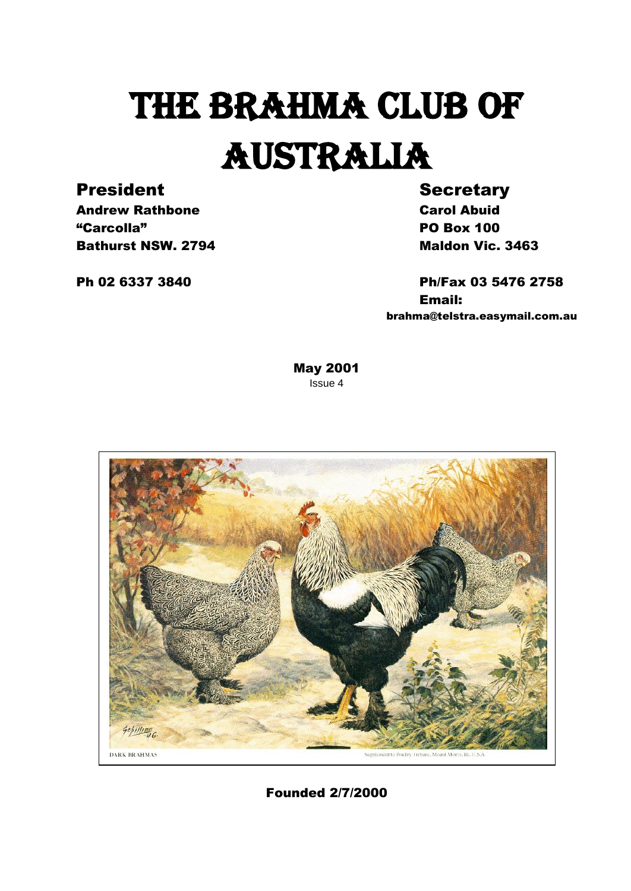# THE BRAHMA CLUB OF AUSTRALIA

### President Secretary

Andrew Rathbone **Carol Abuid** "Carcolla" PO Box 100 **Bathurst NSW. 2794** Maldon Vic. 3463

Ph 02 6337 3840 Ph/Fax 03 5476 2758 Email: brahma@telstra.easymail.com.au

> May 2001 Issue 4



Founded 2/7/2000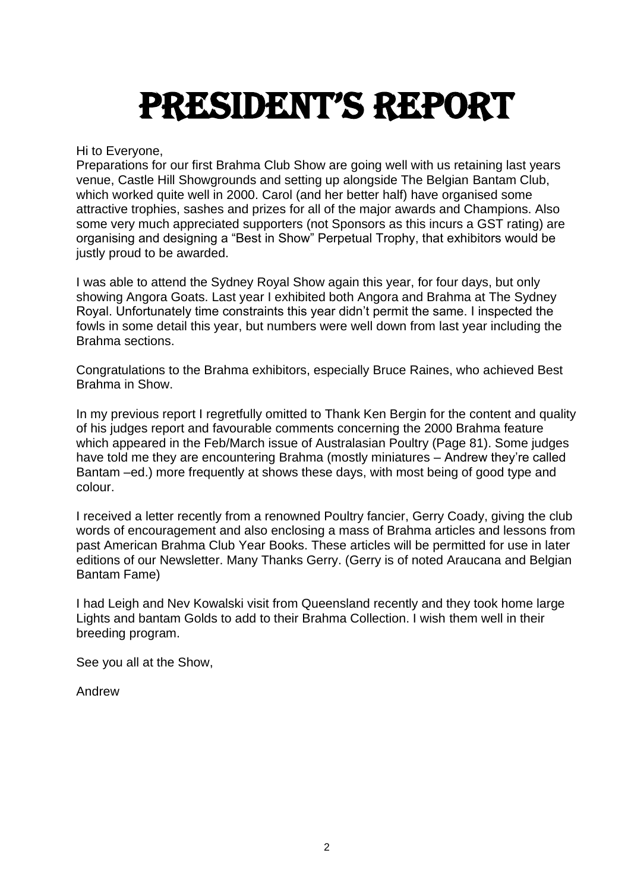# President's Report

Hi to Everyone,

Preparations for our first Brahma Club Show are going well with us retaining last years venue, Castle Hill Showgrounds and setting up alongside The Belgian Bantam Club, which worked quite well in 2000. Carol (and her better half) have organised some attractive trophies, sashes and prizes for all of the major awards and Champions. Also some very much appreciated supporters (not Sponsors as this incurs a GST rating) are organising and designing a "Best in Show" Perpetual Trophy, that exhibitors would be justly proud to be awarded.

I was able to attend the Sydney Royal Show again this year, for four days, but only showing Angora Goats. Last year I exhibited both Angora and Brahma at The Sydney Royal. Unfortunately time constraints this year didn't permit the same. I inspected the fowls in some detail this year, but numbers were well down from last year including the Brahma sections.

Congratulations to the Brahma exhibitors, especially Bruce Raines, who achieved Best Brahma in Show.

In my previous report I regretfully omitted to Thank Ken Bergin for the content and quality of his judges report and favourable comments concerning the 2000 Brahma feature which appeared in the Feb/March issue of Australasian Poultry (Page 81). Some judges have told me they are encountering Brahma (mostly miniatures – Andrew they're called Bantam –ed.) more frequently at shows these days, with most being of good type and colour.

I received a letter recently from a renowned Poultry fancier, Gerry Coady, giving the club words of encouragement and also enclosing a mass of Brahma articles and lessons from past American Brahma Club Year Books. These articles will be permitted for use in later editions of our Newsletter. Many Thanks Gerry. (Gerry is of noted Araucana and Belgian Bantam Fame)

I had Leigh and Nev Kowalski visit from Queensland recently and they took home large Lights and bantam Golds to add to their Brahma Collection. I wish them well in their breeding program.

See you all at the Show,

Andrew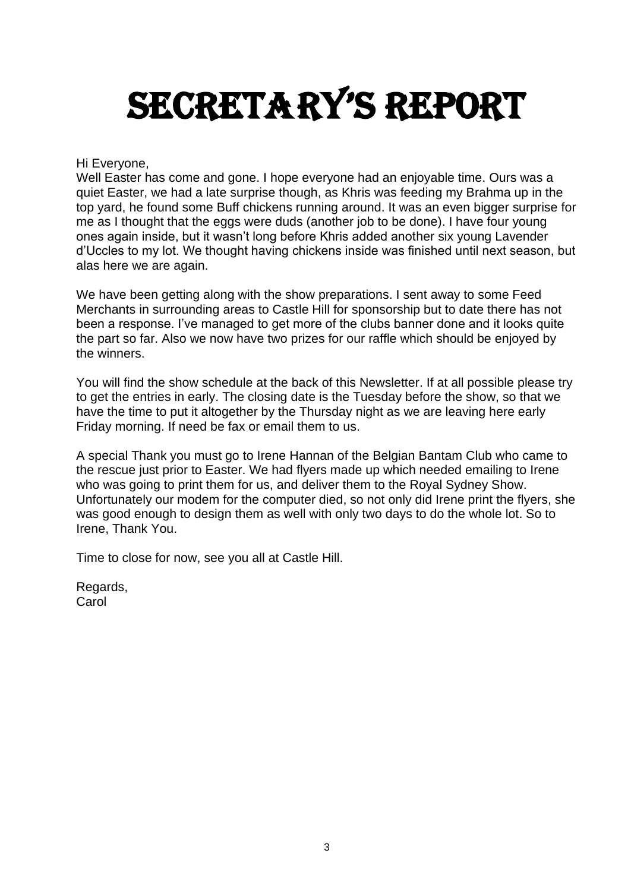# SECRETARY'S REPORT

Hi Everyone,

Well Easter has come and gone. I hope everyone had an enjoyable time. Ours was a quiet Easter, we had a late surprise though, as Khris was feeding my Brahma up in the top yard, he found some Buff chickens running around. It was an even bigger surprise for me as I thought that the eggs were duds (another job to be done). I have four young ones again inside, but it wasn't long before Khris added another six young Lavender d'Uccles to my lot. We thought having chickens inside was finished until next season, but alas here we are again.

We have been getting along with the show preparations. I sent away to some Feed Merchants in surrounding areas to Castle Hill for sponsorship but to date there has not been a response. I've managed to get more of the clubs banner done and it looks quite the part so far. Also we now have two prizes for our raffle which should be enjoyed by the winners.

You will find the show schedule at the back of this Newsletter. If at all possible please try to get the entries in early. The closing date is the Tuesday before the show, so that we have the time to put it altogether by the Thursday night as we are leaving here early Friday morning. If need be fax or email them to us.

A special Thank you must go to Irene Hannan of the Belgian Bantam Club who came to the rescue just prior to Easter. We had flyers made up which needed emailing to Irene who was going to print them for us, and deliver them to the Royal Sydney Show. Unfortunately our modem for the computer died, so not only did Irene print the flyers, she was good enough to design them as well with only two days to do the whole lot. So to Irene, Thank You.

Time to close for now, see you all at Castle Hill.

Regards, **Carol**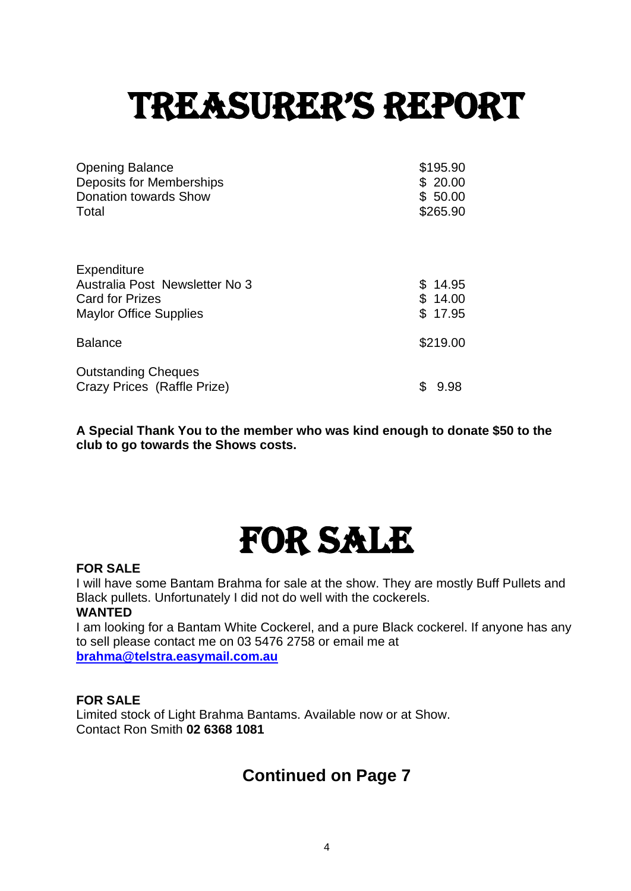# treasurer's rePort

| <b>Opening Balance</b>         | \$195.90  |
|--------------------------------|-----------|
| Deposits for Memberships       | \$20.00   |
| <b>Donation towards Show</b>   | \$50.00   |
| Total                          | \$265.90  |
|                                |           |
|                                |           |
| Expenditure                    |           |
| Australia Post Newsletter No 3 | \$14.95   |
| <b>Card for Prizes</b>         | \$14.00   |
| <b>Maylor Office Supplies</b>  | \$17.95   |
|                                |           |
| <b>Balance</b>                 | \$219.00  |
|                                |           |
| <b>Outstanding Cheques</b>     |           |
| Crazy Prices (Raffle Prize)    | S<br>9.98 |

**A Special Thank You to the member who was kind enough to donate \$50 to the club to go towards the Shows costs.** 

### For sale

### **FOR SALE**

I will have some Bantam Brahma for sale at the show. They are mostly Buff Pullets and Black pullets. Unfortunately I did not do well with the cockerels. **WANTED**

I am looking for a Bantam White Cockerel, and a pure Black cockerel. If anyone has any to sell please contact me on 03 5476 2758 or email me at **[brahma@telstra.easymail.com.au](mailto:brahma@telstra.easymail.com.au)**

### **FOR SALE**

Limited stock of Light Brahma Bantams. Available now or at Show. Contact Ron Smith **02 6368 1081**

### **Continued on Page 7**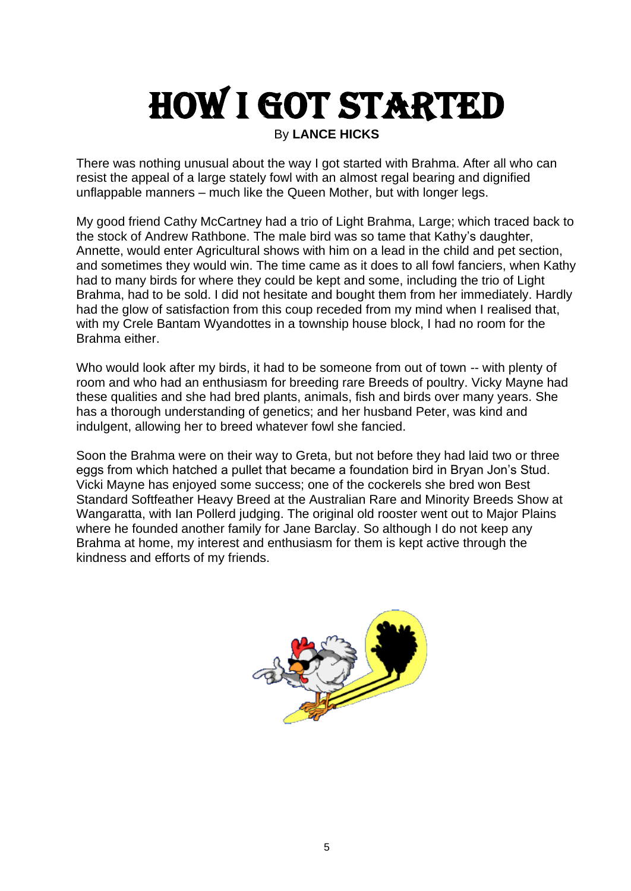# How I got started

### By **LANCE HICKS**

There was nothing unusual about the way I got started with Brahma. After all who can resist the appeal of a large stately fowl with an almost regal bearing and dignified unflappable manners – much like the Queen Mother, but with longer legs.

My good friend Cathy McCartney had a trio of Light Brahma, Large; which traced back to the stock of Andrew Rathbone. The male bird was so tame that Kathy's daughter, Annette, would enter Agricultural shows with him on a lead in the child and pet section, and sometimes they would win. The time came as it does to all fowl fanciers, when Kathy had to many birds for where they could be kept and some, including the trio of Light Brahma, had to be sold. I did not hesitate and bought them from her immediately. Hardly had the glow of satisfaction from this coup receded from my mind when I realised that, with my Crele Bantam Wyandottes in a township house block, I had no room for the Brahma either.

Who would look after my birds, it had to be someone from out of town -- with plenty of room and who had an enthusiasm for breeding rare Breeds of poultry. Vicky Mayne had these qualities and she had bred plants, animals, fish and birds over many years. She has a thorough understanding of genetics; and her husband Peter, was kind and indulgent, allowing her to breed whatever fowl she fancied.

Soon the Brahma were on their way to Greta, but not before they had laid two or three eggs from which hatched a pullet that became a foundation bird in Bryan Jon's Stud. Vicki Mayne has enjoyed some success; one of the cockerels she bred won Best Standard Softfeather Heavy Breed at the Australian Rare and Minority Breeds Show at Wangaratta, with Ian Pollerd judging. The original old rooster went out to Major Plains where he founded another family for Jane Barclay. So although I do not keep any Brahma at home, my interest and enthusiasm for them is kept active through the kindness and efforts of my friends.

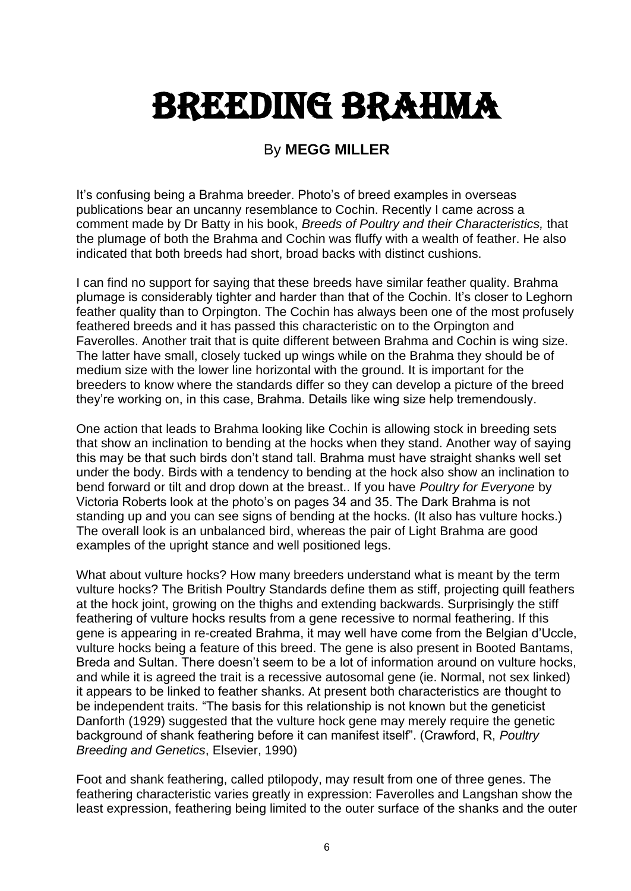# Breeding brahma

### By **MEGG MILLER**

It's confusing being a Brahma breeder. Photo's of breed examples in overseas publications bear an uncanny resemblance to Cochin. Recently I came across a comment made by Dr Batty in his book, *Breeds of Poultry and their Characteristics,* that the plumage of both the Brahma and Cochin was fluffy with a wealth of feather. He also indicated that both breeds had short, broad backs with distinct cushions.

I can find no support for saying that these breeds have similar feather quality. Brahma plumage is considerably tighter and harder than that of the Cochin. It's closer to Leghorn feather quality than to Orpington. The Cochin has always been one of the most profusely feathered breeds and it has passed this characteristic on to the Orpington and Faverolles. Another trait that is quite different between Brahma and Cochin is wing size. The latter have small, closely tucked up wings while on the Brahma they should be of medium size with the lower line horizontal with the ground. It is important for the breeders to know where the standards differ so they can develop a picture of the breed they're working on, in this case, Brahma. Details like wing size help tremendously.

One action that leads to Brahma looking like Cochin is allowing stock in breeding sets that show an inclination to bending at the hocks when they stand. Another way of saying this may be that such birds don't stand tall. Brahma must have straight shanks well set under the body. Birds with a tendency to bending at the hock also show an inclination to bend forward or tilt and drop down at the breast.. If you have *Poultry for Everyone* by Victoria Roberts look at the photo's on pages 34 and 35. The Dark Brahma is not standing up and you can see signs of bending at the hocks. (It also has vulture hocks.) The overall look is an unbalanced bird, whereas the pair of Light Brahma are good examples of the upright stance and well positioned legs.

What about vulture hocks? How many breeders understand what is meant by the term vulture hocks? The British Poultry Standards define them as stiff, projecting quill feathers at the hock joint, growing on the thighs and extending backwards. Surprisingly the stiff feathering of vulture hocks results from a gene recessive to normal feathering. If this gene is appearing in re-created Brahma, it may well have come from the Belgian d'Uccle, vulture hocks being a feature of this breed. The gene is also present in Booted Bantams, Breda and Sultan. There doesn't seem to be a lot of information around on vulture hocks, and while it is agreed the trait is a recessive autosomal gene (ie. Normal, not sex linked) it appears to be linked to feather shanks. At present both characteristics are thought to be independent traits. "The basis for this relationship is not known but the geneticist Danforth (1929) suggested that the vulture hock gene may merely require the genetic background of shank feathering before it can manifest itself". (Crawford, R, *Poultry Breeding and Genetics*, Elsevier, 1990)

Foot and shank feathering, called ptilopody, may result from one of three genes. The feathering characteristic varies greatly in expression: Faverolles and Langshan show the least expression, feathering being limited to the outer surface of the shanks and the outer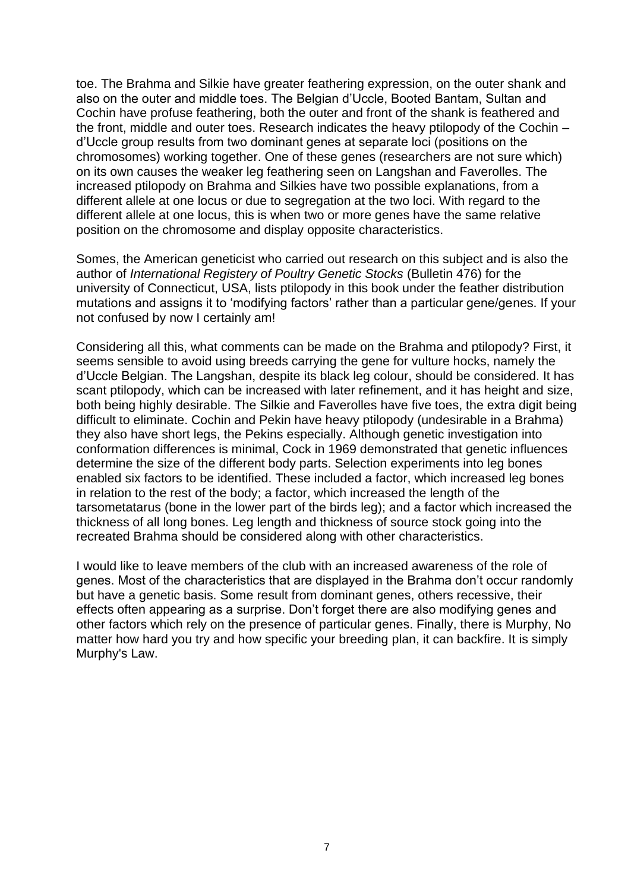toe. The Brahma and Silkie have greater feathering expression, on the outer shank and also on the outer and middle toes. The Belgian d'Uccle, Booted Bantam, Sultan and Cochin have profuse feathering, both the outer and front of the shank is feathered and the front, middle and outer toes. Research indicates the heavy ptilopody of the Cochin – d'Uccle group results from two dominant genes at separate loci (positions on the chromosomes) working together. One of these genes (researchers are not sure which) on its own causes the weaker leg feathering seen on Langshan and Faverolles. The increased ptilopody on Brahma and Silkies have two possible explanations, from a different allele at one locus or due to segregation at the two loci. With regard to the different allele at one locus, this is when two or more genes have the same relative position on the chromosome and display opposite characteristics.

Somes, the American geneticist who carried out research on this subject and is also the author of *International Registery of Poultry Genetic Stocks* (Bulletin 476) for the university of Connecticut, USA, lists ptilopody in this book under the feather distribution mutations and assigns it to 'modifying factors' rather than a particular gene/genes. If your not confused by now I certainly am!

Considering all this, what comments can be made on the Brahma and ptilopody? First, it seems sensible to avoid using breeds carrying the gene for vulture hocks, namely the d'Uccle Belgian. The Langshan, despite its black leg colour, should be considered. It has scant ptilopody, which can be increased with later refinement, and it has height and size, both being highly desirable. The Silkie and Faverolles have five toes, the extra digit being difficult to eliminate. Cochin and Pekin have heavy ptilopody (undesirable in a Brahma) they also have short legs, the Pekins especially. Although genetic investigation into conformation differences is minimal, Cock in 1969 demonstrated that genetic influences determine the size of the different body parts. Selection experiments into leg bones enabled six factors to be identified. These included a factor, which increased leg bones in relation to the rest of the body; a factor, which increased the length of the tarsometatarus (bone in the lower part of the birds leg); and a factor which increased the thickness of all long bones. Leg length and thickness of source stock going into the recreated Brahma should be considered along with other characteristics.

I would like to leave members of the club with an increased awareness of the role of genes. Most of the characteristics that are displayed in the Brahma don't occur randomly but have a genetic basis. Some result from dominant genes, others recessive, their effects often appearing as a surprise. Don't forget there are also modifying genes and other factors which rely on the presence of particular genes. Finally, there is Murphy, No matter how hard you try and how specific your breeding plan, it can backfire. It is simply Murphy's Law.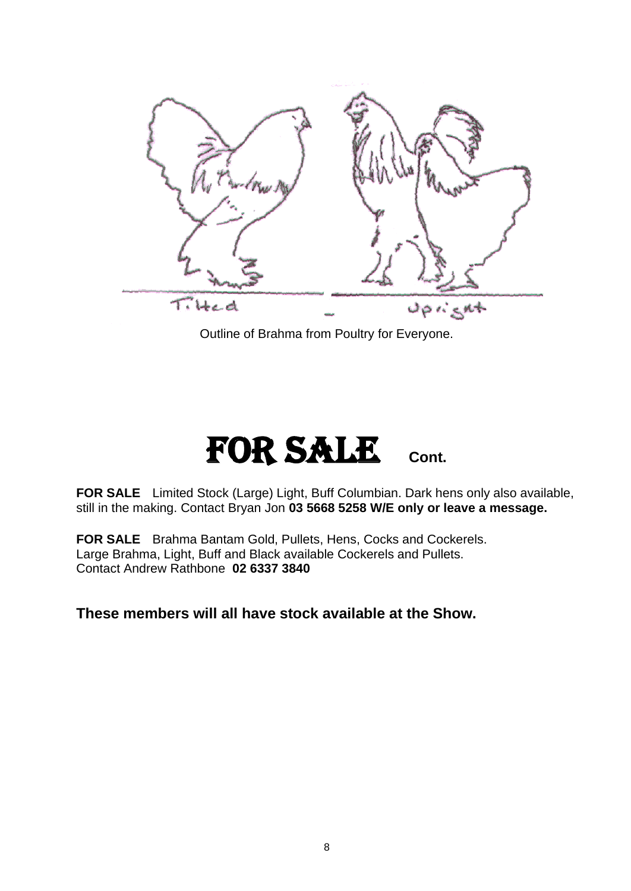

Outline of Brahma from Poultry for Everyone.

### FOR SALE Cont.

**FOR SALE** Limited Stock (Large) Light, Buff Columbian. Dark hens only also available, still in the making. Contact Bryan Jon **03 5668 5258 W/E only or leave a message.**

**FOR SALE** Brahma Bantam Gold, Pullets, Hens, Cocks and Cockerels. Large Brahma, Light, Buff and Black available Cockerels and Pullets. Contact Andrew Rathbone **02 6337 3840**

### **These members will all have stock available at the Show.**